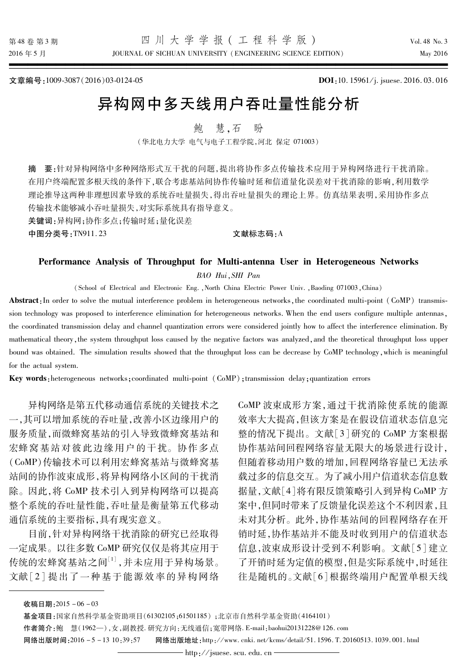JOURNAL OF SICHUAN UNIVERSITY (ENGINEERING SCIENCE EDITION)

Vol 48 No 3 May 2016

文章编号:1009-3087(2016)03-0124-05

DOI:10.15961/j. jsuese. 2016.03.016

# 异构网中多天线用户吞叶量性能分析

慧.石 餉 盼

(华北电力大学 电气与电子工程学院,河北 保定 071003)

要:针对异构网络中多种网络形式互干扰的问题,提出将协作多点传输技术应用于异构网络进行干扰消除。 摘 在用户终端配置多根天线的条件下,联合考虑基站间协作传输时延和信道量化误差对干扰消除的影响,利用数学 理论推导这两种非理想因素导致的系统吞吐量损失,得出吞吐量损失的理论上界。仿真结果表明,采用协作多点 传输技术能够减小吞吐量损失,对实际系统具有指导意义。

关键词:异构网;协作多点;传输时延;量化误差

中图分类号:TN911.23

文献标志码:A

### Performance Analysis of Throughput for Multi-antenna User in Heterogeneous Networks BAO Hui, SHI Pan

(School of Electrical and Electronic Eng., North China Electric Power Univ., Baoding 071003, China)

Abstract: In order to solve the mutual interference problem in heterogeneous networks, the coordinated multi-point (CoMP) transmission technology was proposed to interference elimination for heterogeneous networks. When the end users configure multiple antennas, the coordinated transmission delay and channel quantization errors were considered jointly how to affect the interference elimination. By mathematical theory, the system throughput loss caused by the negative factors was analyzed, and the theoretical throughput loss upper bound was obtained. The simulation results showed that the throughput loss can be decrease by CoMP technology, which is meaningful for the actual system.

Key words: heterogeneous networks: coordinated multi-point (CoMP): transmission delay: quantization errors

异构网络是第五代移动通信系统的关键技术之 一,其可以增加系统的吞吐量,改善小区边缘用户的 服务质量,而微蜂窝基站的引入导致微蜂窝基站和 宏蜂窝基站对彼此边缘用户的干扰。协作多点 (CoMP)传输技术可以利用宏蜂窝基站与微蜂窝基 站间的协作波束成形,将异构网络小区间的干扰消 除。因此,将 CoMP 技术引入到异构网络可以提高 整个系统的吞吐量性能,吞吐量是衡量第五代移动 通信系统的主要指标,具有现实意义。

目前,针对异构网络干扰消除的研究已经取得 一定成果。以往多数 CoMP 研究仅仅是将其应用于 传统的宏蜂窝基站之间[1],并未应用于异构场景。 文献[2] 提出了一种基于能源效率的异构网络 CoMP 波束成形方案, 通过干扰消除使系统的能源 效率大大提高,但该方案是在假设信道状态信息完 整的情况下提出。文献[3]研究的 CoMP 方案根据 协作基站间回程网络容量无限大的场景进行设计, 但随着移动用户数的增加,回程网络容量已无法承 载过多的信息交互。为了减小用户信道状态信息数 据量,文献[4]将有限反馈策略引入到异构 CoMP 方 案中,但同时带来了反馈量化误差这个不利因素,且 未对其分析。此外,协作基站间的回程网络存在开 销时延,协作基站并不能及时收到用户的信道状态 信息,波束成形设计受到不利影响。文献[5]建立 了开销时延为定值的模型,但是实际系统中,时延往 往是随机的。文献[6]根据终端用户配置单根天线

收稿日期: 2015-06-03

基金项目:国家自然科学基金资助项目(61302105;61501185);北京市自然科学基金资助(4164101)

作者简介:鲍 慧(1962-),女,副教授.研究方向:无线通信;宽带网络. E-mail:baohui20131228@126.com

网络出版时间: 2016-5-13 10:39:57 网络出版地址:http://www.cnki.net/kcms/detail/51.1596.T.20160513.1039.001.html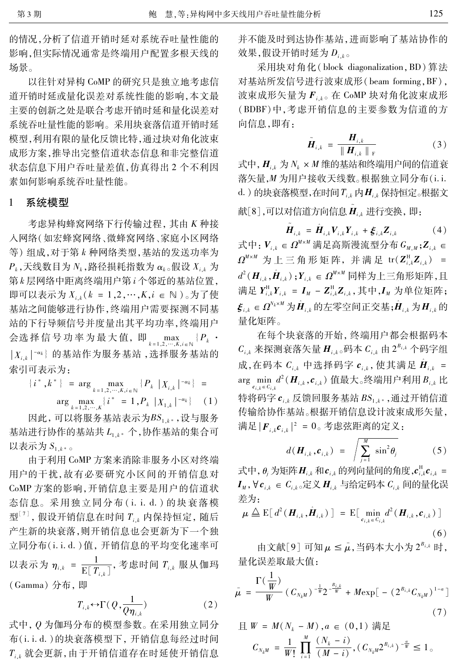125

的情况,分析了信道开销时延对系统吞吐量性能的 影响,但实际情况通常是终端用户配置多根天线的 场景。

以往针对异构 CoMP 的研究只是独立地考虑信 道开销时延或量化误差对系统性能的影响,本文最 主要的创新之处是联合考虑开销时延和量化误差对 系统吞吐量性能的影响。采用块衰落信道开销时延 模型,利用有限的量化反馈比特,通过块对角化波束 成形方案,推导出完整信道状态信息和非完整信道 状态信息下用户吞吐量差值,仿真得出2个不利因 素如何影响系统吞叶量性能。

#### $\mathbf{1}$ 系统模型

考虑异构蜂窝网络下行传输过程, 其由 K 种接 人网络(如宏蜂窝网络、微蜂窝网络、家庭小区网络 等) 组成, 对于第 k 种网络类型, 基站的发送功率为  $P_k$ ,天线数目为 $N_k$ ,路径损耗指数为 $\alpha_k$ 。假设 $X_{i,k}$ 为 第k层网络中距离终端用户第i个邻近的基站位置, 即可以表示为 $X_{i,k}$   $(k = 1, 2, \cdots, K, i \in \mathbb{N})$ 。为了使 基站之间能够进行协作,终端用户需要探测不同基 站的下行导频信号并度量出其平均功率,终端用户 会选择信号功率为最大值,即  $\max_{k=1,2,\cdots,K,i\in\mathbb{N}}$  { $P_k$ ·  $|X_{i,k}|^{-\alpha_k}$ 的基站作为服务基站,选择服务基站的 索引可表示为:

 ${i^*, k^*} = \arg \max_{k=1,2,\cdots,K, i \in \mathbb{N}} {P_k |X_{i,k}|^{-\alpha_k}} =$  $\arg \max_{k=1,2,\cdots,K} \{ i^* = 1, P_k |X_{1,k}|^{-\alpha_k} \}$  (1)

因此,可以将服务基站表示为BS1k,最为服务 基站进行协作的基站共 L1 k\* 个, 协作基站的集合可 以表示为 $S_{1,k^*}$ 。

由于利用 CoMP 方案来消除非服务小区对终端 用户的干扰,故有必要研究小区间的开销信息对 CoMP 方案的影响,开销信息主要是用户的信道状 态信息。采用独立同分布(i. i. d.)的块衰落模 型<sup>[7]</sup>,假设开销信息在时间  $T_{i,k}$  内保持恒定, 随后 产生新的块衰落,则开销信息也会更新为下一个独 立同分布(i.i.d.)值,开销信息的平均变化速率可 以表示为  $\eta_{i,k} = \frac{1}{\mathrm{E}[\,T_{i,k}\,]}$ , 考虑时间  $T_{i,k}$  服从伽玛 (Gamma) 分布, 即

$$
T_{i,k} \leftrightarrow \Gamma(Q, \frac{1}{Q \eta_{i,k}}) \tag{2}
$$

式中, Q 为伽玛分布的模型参数。在采用独立同分 布(i.i.d.)的块衰落模型下, 开销信息每经过时间  $T_{i,k}$  就会更新, 由于开销信道存在时延使开销信息 并不能及时到达协作基站,进而影响了基站协作的 效果,假设开销时延为 Diko

采用块对角化(block diagonalization, BD)算法 对基站所发信号进行波束成形(beam forming, BF), 波束成形矢量为  $F_{i,k}$ 。在 CoMP 块对角化波束成形 (BDBF)中,考虑开销信息的主要参数为信道的方 向信息,即有:

$$
\tilde{\boldsymbol{H}}_{i,k} = \frac{\boldsymbol{H}_{i,k}}{\|\boldsymbol{H}_{i,k}\|_{\mathrm{F}}} \tag{3}
$$

式中,  $H_{i,k}$  为  $N_k \times M$  维的基站和终端用户间的信道衰 落矢量,M为用户接收天线数。根据独立同分布(i.i. d. ) 的块衰落模型,在时间 $T_{i,k}$ 内 $H_{i,k}$ 保持恒定。根据文

献[8],可以对信道方向信息 Hik 进行变换, 即:

 $\mathbf{H}_{i,k} = \hat{\mathbf{H}}_{i,k} \mathbf{V}_{i,k} \mathbf{Y}_{i,k} + \xi_{i,k} \mathbf{Z}_{i,k}$  (4) 式中:  $V_{i,k} \in \Omega^{M \times M}$ 满足高斯漫流型分布 $G_{M,M}$ ; $Z_{i,k} \in$  $\Omega^{M\times M}$  为上三角形矩阵, 并满足 tr $(\mathbf{Z}_{i,k}^{\text{H}}\mathbf{Z}_{i,k})$  =  $d^2(\boldsymbol{H}_{i,k},\hat{\boldsymbol{H}}_{i,k})$ ; $\boldsymbol{Y}_{i,k} \in \Omega^{M \times M}$ 同样为上三角形矩阵,且 满足 $Y_{i,k}^{\text{H}} Y_{i,k} = I_M - Z_{i,k}^{\text{H}} Z_{i,k},$ 其中, $I_M$  为单位矩阵;  $\mathbf{\dot{f}}_{i.k} \in \Omega^{N_k \times M} \overleftrightarrow{H}_{i.k}$ 的左零空间正交基; $\hat{H}_{i,k} \overleftrightarrow{H}_{i,k}$ 的 量化矩阵。

在每个块衰落的开始,终端用户都会根据码本  $C_{i,k}$  来探测衰落矢量  $H_{i,k}$ 。码本  $C_{i,k}$  由  $2^{B_{i,k}}$  个码字组 成,在码本  $C_{i,k}$  中选择码字  $c_{i,k}$ , 使其满足  $H_{i,k}$  = arg  $\min_{c_{i,k}\in C_{i,k}} d^2(\boldsymbol{H}_{i,k},\boldsymbol{c}_{i,k})$ 值最大。终端用户利用 $B_{i,k}$ 比 特将码字 $c_{i,k}$ 反馈回服务基站  $BS_{1,k^*}$ ,通过开销信道 传输给协作基站。根据开销信息设计波束成形矢量, 满足  $|\textbf{F}_{i,k}\textbf{c}_{i,k}|^2 = 0$ 。考虑弦距离的定义:

$$
d(\boldsymbol{H}_{i,k}, \boldsymbol{c}_{i,k}) = \sqrt{\sum_{j=1}^{M} \sin^2 \theta_j}
$$
 (5)

式中,  $\theta_i$  为矩阵 $\boldsymbol{H}_{i,k}$  和 $\boldsymbol{c}_{i,k}$  的列向量间的角度, $\boldsymbol{c}_{i,k}^{\text{H}}\boldsymbol{c}_{i,k}$  =  $\boldsymbol{I}_{\scriptscriptstyle M}, \forall \, \boldsymbol{c}_{\scriptscriptstyle i,k} \in \mathit{C}_{\scriptscriptstyle i,k}$ 。定义 $\boldsymbol{H}_{\scriptscriptstyle i,k}$  与给定码本  $\mathit{C}_{\scriptscriptstyle i,k}$  间的量化误 差为:

$$
\mu \triangleq \mathrm{E}[d^2(\boldsymbol{H}_{i,k}, \hat{\boldsymbol{H}}_{i,k})] = \mathrm{E}[\min_{\boldsymbol{c}_{i,k} \in C_{i,k}} d^2(\boldsymbol{H}_{i,k}, \boldsymbol{c}_{i,k})]
$$
\n(6)

由文献 $[9]$ 可知 $\mu \leq \bar{\mu}$ , 当码本大小为  $2^{B_{i,k}}$  时, 量化误差取最大值:

$$
\bar{\mu} = \frac{\Gamma(\frac{1}{W})}{W} (C_{N_k M})^{-\frac{1}{W}} 2^{-\frac{B_{i,k}}{W}} + M \exp[-(2^{B_{i,k}} C_{N_k M})^{1-a}]
$$
\n(7)

$$
\underline{H} W = M(N_k - M), a \in (0,1) \overrightarrow{m} \underline{E}
$$
\n
$$
C_{N_k M} = \frac{1}{W!} \prod_{i=1}^{M} \frac{(N_k - i)}{(M - i)}, (C_{N_k M} 2^{B_{i,k}})^{-\frac{a}{W}} \le 1.
$$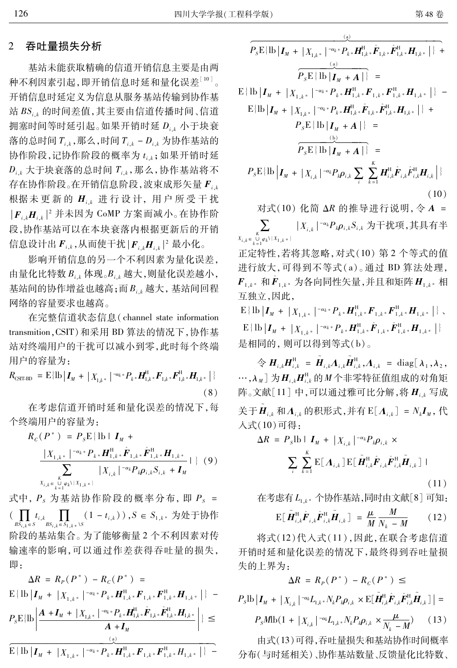#### 吞吐量损失分析 2

基站未能获取精确的信道开销信息主要是由两 种不利因素引起,即开销信息时延和量化误差 $^{\text{LO}}$ 。 开销信息时延定义为信息从服务基站传输到协作基 站  $BS_{i,k}$ 的时间差值,其主要由信道传播时间、信道 拥塞时间等时延引起。如果开销时延 Dik 小于块衰 落的总时间 $T_{i,k}$ ,那么,时间 $T_{i,k}$  –  $D_{i,k}$  为协作基站的 协作阶段,记协作阶段的概率为 ti,;如果开销时延  $D_{i,k}$ 大于块衰落的总时间  $T_{i,k}$ , 那么, 协作基站将不 存在协作阶段。在开销信息阶段,波束成形矢量  $F_{i,k}$ 根据未更新的 Hik 进行设计, 用户所受干扰  $|\mathbf{F}_{i,k} \mathbf{H}_{i,k}|^2$  并未因为 CoMP 方案而减小。在协作阶 段,协作基站可以在本块衰落内根据更新后的开销 信息设计出 $\boldsymbol{F}_{i,k}$ ,从而使干扰 $|\boldsymbol{F}_{i,k}\boldsymbol{H}_{i,k}|^2$ 最小化。

影响开销信息的另一个不利因素为量化误差, 由量化比特数  $B_{i,k}$  体现。 $B_{i,k}$  越大, 则量化误差越小, 基站间的协作增益也越高;而B.,越大,基站间回程 网络的容量要求也越高。

在完整信道状态信息(channel state information transmition, CSIT) 和采用 BD 算法的情况下, 协作基 站对终端用户的干扰可以减小到零,此时每个终端 用户的容量为:

 $R_{\text{CST-BD }}=\text{E}\{\text{lb}\left|\textit{\textbf{I}}_{M} \text{ }+\text{ } \right|\text{ } X_{1,k^{*}}\left| \text{ } ^{-\alpha _{k} \ast }P_{k} \text{ }_{\ast } \textit{\textbf{H}}_{1,k^{*}}^{\text{H}} \textit{\textbf{F}}_{1,k^{*}} \textit{\textbf{F}}_{1,k^{*}}^{\text{H}} \textit{\textbf{H}}_{1,k^{*}}\left| \text{ } \right. \}$  $(8)$ 

在考虑信道开销时延和量化误差的情况下,每 个终端用户的容量为:

$$
R_c(P^*) = P_s \mathbf{E} \{ \mathbf{lb} \mid \mathbf{I}_M +
$$
  
\n
$$
\frac{|X_{1,k^*}|^{-\alpha_k^* P_k^* \mathbf{H}_{1,k^*}^H \hat{\mathbf{F}}_{1,k^*} \hat{\mathbf{F}}_{1,k^*}^H \mathbf{H}_{1,k^*}}{\sum_{\substack{K \\ X_{i,k} \in \bigcup_{k=1}^L \varphi_k \setminus \{X_{1,k^*}\} }} |X_{i,k}|^{-\alpha_k P_k \rho_{i,k} S_{i,k} + \mathbf{I}_M} } |\}
$$
(9)

式中,  $P_s$  为基站协作阶段的概率分布, 即  $P_s$  =  $\big(\prod_{BS_i} t_{i,k} \prod_{BS_i} \prod_{k \in S_{1,k}} (1-t_{i,k})\big)$ ,  $S \in S_{1,k^*}$  为处于协作 阶段的基站集合。为了能够衡量2个不利因素对传 输速率的影响,可以通过作差获得吞吐量的损失, 即:

$$
\Delta R = R_P(P^*) - R_C(P^*) =
$$
\n
$$
E\{\text{lb}\left|I_M + |X_{1,k^*}|^{-\alpha_k * P_{k^*}} H_{1,k^*}^H F_{1,k^*} F_{1,k^*}^H H_{1,k^*}\right|\} -
$$
\n
$$
P_S E\{\text{lb}\left|\frac{A + I_M + |X_{1,k^*}|^{-\alpha_k * P_{k^*}} H_{1,k^*}^H \hat{F}_{1,k^*} \hat{F}_{1,k^*}^H H_{1,k^*}}{A + I_M}\right|\} \le
$$
\n
$$
\frac{Q}{E\{\text{lb}\left|I_M + |X_{1,k^*}|^{-\alpha_k * P_{k^*}} H_{1,k^*}^H F_{1,k^*} F_{1,k^*}^H H_{1,k^*}\right|\} -
$$

$$
\frac{\sum_{k=1}^{n} \sum_{j=1}^{n} \sum_{j=1}^{n} \sum_{j=1}^{n} \sum_{j=1}^{n} \sum_{j=1}^{n} \sum_{j=1}^{n} \sum_{j=1}^{n} \sum_{j=1}^{n} \sum_{j=1}^{n} \sum_{j=1}^{n} \sum_{j=1}^{n} \sum_{j=1}^{n} \sum_{j=1}^{n} \sum_{j=1}^{n} \sum_{j=1}^{n} \sum_{j=1}^{n} \sum_{j=1}^{n} \sum_{j=1}^{n} \sum_{j=1}^{n} \sum_{j=1}^{n} \sum_{j=1}^{n} \sum_{j=1}^{n} \sum_{j=1}^{n} \sum_{j=1}^{n} \sum_{j=1}^{n} \sum_{j=1}^{n} \sum_{j=1}^{n} \sum_{j=1}^{n} \sum_{j=1}^{n} \sum_{j=1}^{n} \sum_{j=1}^{n} \sum_{j=1}^{n} \sum_{j=1}^{n} \sum_{j=1}^{n} \sum_{j=1}^{n} \sum_{j=1}^{n} \sum_{j=1}^{n} \sum_{j=1}^{n} \sum_{j=1}^{n} \sum_{j=1}^{n} \sum_{j=1}^{n} \sum_{j=1}^{n} \sum_{j=1}^{n} \sum_{j=1}^{n} \sum_{j=1}^{n} \sum_{j=1}^{n} \sum_{j=1}^{n} \sum_{j=1}^{n} \sum_{j=1}^{n} \sum_{j=1}^{n} \sum_{j=1}^{n} \sum_{j=1}^{n} \sum_{j=1}^{n} \sum_{j=1}^{n} \sum_{j=1}^{n} \sum_{j=1}^{n} \sum_{j=1}^{n} \sum_{j=1}^{n} \sum_{j=1}^{n} \sum_{j=1}^{n} \sum_{j=1}^{n} \sum_{j=1}^{n} \sum_{j=1}^{n} \sum_{j=1}^{n} \sum_{j=1}^{n} \sum_{j=1}^{n} \sum_{j=1}^{n} \sum_{j=1}^{n} \sum_{j=1}^{n} \sum_{j=1}^{n} \sum_{j=1}^{n} \sum_{j=1}^{n} \sum_{j=1}^{n} \sum_{j=1}^{n} \sum_{j=1}^{
$$

对式(10) 化简 ΔR 的推导进行说明, 令 A =  $|X_{i,k}|^{-\alpha_k}P_k\rho_{i,k}S_{i,k}$ 为干扰项,其具有半  $X_{i,k} \in \bigcup_{k=1}^{K} \mathcal{L}_k$ 

正定特性,若将其忽略,对式(10) 第2个等式的值 进行放大,可得到不等式(a)。通过 BD 算法处理,  $F_{1,k^*}$  和 $F_{1,k^*}$  为各向同性矢量,并且和矩阵 $H_{1,k^*}$  相 互独立,因此,

 $\mathrm{E}\left\{\mathrm{lb}\left|{\bm{I}}_M\;+\;{\left|X_{1,k}\right|}\;{\right|}^{-\alpha_k*}P_{k\,^*}{\bm{H}}_{1,k}^{\mathrm{H}}\!\!,{\bm{F}}_{1,k\,^*}^{\mathrm{H}}{\bm{F}}_{1,k\,^*}^{\mathrm{H}}{\bm{H}}_{1,k\,^*}\;{\right|\right\}\,,$  $\mathbf{E} \{ \mathbf{I} \mathbf{b} \left| \mathbf{I}_M + \left| X_{1,k^*} \right|^{-\alpha_k *} P_{k^*} \mathbf{H}_{1,k^*}^{\mathrm{H}} \hat{\mathbf{F}}_{1,k^*} \hat{\mathbf{F}}_{1,k^*}^{\mathrm{H}} \mathbf{H}_{1,k^*} \right| \}$ 是相同的, 则可以得到等式(b)。

 $\hat{\mathcal{L}} \n\bigoplus \mathbf{H}_{i,k} \mathbf{H}_{i,k}^{\mathrm{H}} = \tilde{\mathbf{H}}_{i,k} \Lambda_{i,k} \tilde{\mathbf{H}}_{i,k}^{\mathrm{H}}, \Lambda_{i,k} = \text{diag}[\lambda_1, \lambda_2,$ …, $\lambda_M$ ] 为 $H_{i,k}H_{i,k}^{\rm H}$ 的 $M$ 个非零特征值组成的对角矩 阵。文献 $[11]$ 中,可以通过雅可比分解,将 $H_{i,k}$ 写成 关于 $\ddot{H}_{i,k}$ 和 $\Lambda_{i,k}$ 的积形式,并有E $[\Lambda_{i,k}] = N_k I_M$ ,代 入式(10)可得:

 $\Lambda$ 

$$
R = P_s \mathbf{I} \mathbf{b} \mathbf{I}_{M} + |X_{i,k}|^{-\alpha_k} P_k \rho_{i,k} \times
$$
  

$$
\sum_{i} \sum_{k=1}^{K} \mathbf{E} [\mathbf{\Lambda}_{i,k}] \mathbf{E} [\tilde{\boldsymbol{H}}_{i,k}^{\mathbf{H}} \hat{\boldsymbol{F}}_{i,k} \hat{\boldsymbol{F}}_{i,k}^{\mathbf{H}} \tilde{\boldsymbol{H}}_{i,k}]
$$
 (11)

在考虑有 L<sub>1.k</sub>\* 个协作基站,同时由文献[8] 可知:

$$
\mathrm{E}\big[\,\tilde{\boldsymbol{H}}_{i,k}^{\mathrm{H}}\hat{\boldsymbol{F}}_{i,k}\hat{\boldsymbol{F}}_{i,k}^{\mathrm{H}}\tilde{\boldsymbol{H}}_{i,k}\big]\,=\,\frac{\mu}{M}\frac{M}{N_k-M}\qquad(12)
$$

将式(12)代入式(11),因此,在联合考虑信道 开销时延和量化误差的情况下,最终得到吞吐量损 失的上界为:

$$
\Delta \mathcal{K} = \mathcal{K}_P(P) - \mathcal{K}_C(P) \leq
$$
\n
$$
P_s \text{lb} \left| \mathbf{I}_M + |X_{i,k}|^{-\alpha_k} L_{1,k^*} N_k P_k \rho_{i,k} \times \mathbb{E}[\tilde{\mathbf{H}}_{i,k}^{\text{H}} \hat{\mathbf{F}}_{i,k} \hat{\mathbf{F}}_{i,k}^{\text{H}} \tilde{\mathbf{H}}_{i,k}] \right| =
$$
\n
$$
P_s M \text{lb} (1 + |X_{i,k}|^{-\alpha_k} L_{1,k^*} N_k P_k \rho_{i,k} \times \frac{\mu}{N_k - M}) \qquad (13)
$$

由式(13)可得,吞吐量损失和基站协作时间概率 分布(与时延相关)、协作基站数量、反馈量化比特数、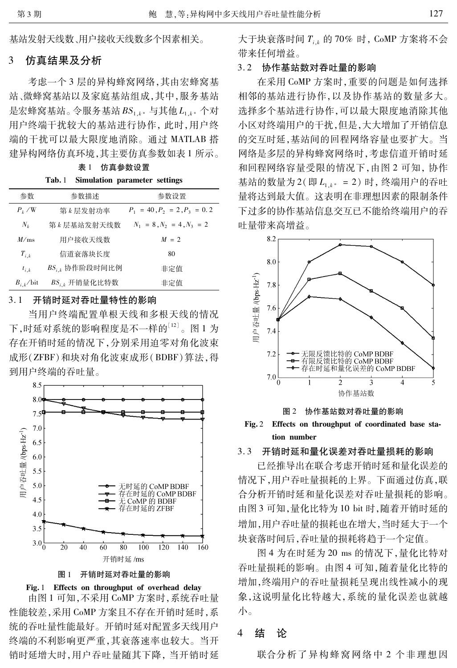基站发射天线数、用户接收天线数多个因素相关。

#### 3 仿真结果及分析

考虑一个3层的异构蜂窝网络,其由宏蜂窝基 站、微蜂窝基站以及家庭基站组成,其中,服务基站 是宏蜂窝基站。令服务基站 BS1k\*与其他L1k\*个对 用户终端干扰较大的基站进行协作, 此时, 用户终 端的干扰可以最大限度地消除。通过 MATLAB 搭 建异构网络仿真环境,其主要仿真参数如表1所示。

表1 仿真参数设置

 $Tab.1$ Simulation parameter settings

| 参数                     | 参数描述                | 参数设置                           |
|------------------------|---------------------|--------------------------------|
| $P_{\iota}$ /W         | 第 k 层发射功率           | $P_1 = 40, P_2 = 2, P_3 = 0.2$ |
| $N_k$                  | 第 k 层基站发射天线数        | $N_1 = 8, N_2 = 4, N_3 = 2$    |
| M/ms                   | 用户接收天线数             | $M = 2$                        |
| $T_{i,k}$              | 信道衰落块长度             | 80                             |
| $t_{i,k}$              | $BS_{i,k}$ 协作阶段时间比例 | 非定值                            |
| $B_{i k}/\mathrm{bit}$ | $BS_{i,k}$ 开销量化比特数  | 非定值                            |

#### $3.1$ 开销时延对吞吐量特性的影响

当用户终端配置单根天线和多根天线的情况 下,时延对系统的影响程度是不一样的[12]。图 1 为 存在开销时延的情况下,分别采用迫零对角化波束 成形(ZFBF)和块对角化波束成形(BDBF)算法,得 到用户终端的吞叶量。



图 1 开销时延对吞叶量的影响



由图 1 可知, 不采用 CoMP 方案时, 系统吞吐量 性能较差,采用 CoMP 方案且不存在开销时延时,系 统的吞吐量性能最好。开销时延对配置多天线用户 终端的不利影响更严重,其衰落速率也较大。当开 销时延增大时,用户吞吐量随其下降,当开销时延 大于块衰落时间  $T_{ijk}$  的 70% 时, CoMP 方案将不会 带来任何增益。

## 3.2 协作基站数对吞吐量的影响

在采用 CoMP 方案时, 重要的问题是如何选择 相邻的基站进行协作,以及协作基站的数量多大。 选择多个基站进行协作,可以最大限度地消除其他 小区对终端用户的干扰,但是,大大增加了开销信息 的交互时延,基站间的回程网络容量也要扩大。当 网络是多层的异构蜂窝网络时,考虑信道开销时延 和回程网络容量受限的情况下,由图2可知,协作 基站的数量为2(即 $L_{1,k^*} = 2$ )时,终端用户的吞吐 量将达到最大值。这表明在非理想因素的限制条件 下过多的协作基站信息交互已不能给终端用户的吞 吐量带来高增益。



图 2 协作基站数对吞吐量的影响

Fig. 2 Effects on throughput of coordinated base station number

### 开销时延和量化误差对吞吐量损耗的影响  $3.3$

已经推导出在联合考虑开销时延和量化误差的 情况下,用户吞吐量损耗的上界。下面通过仿真,联 合分析开销时延和量化误差对吞吐量损耗的影响。 由图 3 可知,量化比特为 10 bit 时,随着开销时延的 增加,用户吞吐量的损耗也在增大,当时延大于一个 块衰落时间后,吞吐量的损耗将趋于一个定值。

图 4 为在时延为 20 ms 的情况下,量化比特对 吞吐量损耗的影响。由图 4 可知,随着量化比特的 增加,终端用户的吞吐量损耗呈现出线性减小的现 象,这说明量化比特越大,系统的量化误差也就越 小。

#### $\overline{\mathcal{L}}$ 结 论

联合分析了异构蜂窝网络中2个非理想因